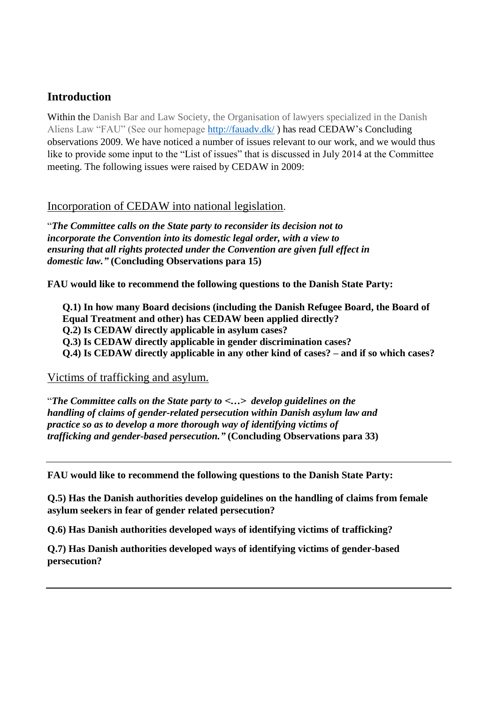# **Introduction**

Within the Danish Bar and Law Society, the Organisation of lawyers specialized in the Danish Aliens Law "FAU" (See our homepage<http://fauadv.dk/> ) has read CEDAW's Concluding observations 2009. We have noticed a number of issues relevant to our work, and we would thus like to provide some input to the "List of issues" that is discussed in July 2014 at the Committee meeting. The following issues were raised by CEDAW in 2009:

## Incorporation of CEDAW into national legislation.

"*The Committee calls on the State party to reconsider its decision not to incorporate the Convention into its domestic legal order, with a view to ensuring that all rights protected under the Convention are given full effect in domestic law."* **(Concluding Observations para 15)**

**FAU would like to recommend the following questions to the Danish State Party:**

**Q.1) In how many Board decisions (including the Danish Refugee Board, the Board of Equal Treatment and other) has CEDAW been applied directly? Q.2) Is CEDAW directly applicable in asylum cases? Q.3) Is CEDAW directly applicable in gender discrimination cases? Q.4) Is CEDAW directly applicable in any other kind of cases? – and if so which cases?**

## Victims of trafficking and asylum.

"*The Committee calls on the State party to <…> develop guidelines on the handling of claims of gender-related persecution within Danish asylum law and practice so as to develop a more thorough way of identifying victims of trafficking and gender-based persecution."* **(Concluding Observations para 33)**

**FAU would like to recommend the following questions to the Danish State Party:**

**Q.5) Has the Danish authorities develop guidelines on the handling of claims from female asylum seekers in fear of gender related persecution?**

**Q.6) Has Danish authorities developed ways of identifying victims of trafficking?**

**Q.7) Has Danish authorities developed ways of identifying victims of gender-based persecution?**